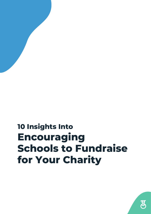### **10 Insights Into Encouraging Schools to Fundraise for Your Charity**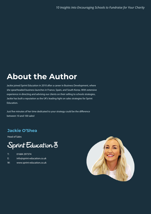#### **About the Author About the Author**

Jackie joined Sprint Education in 2010 after a career in Business Development, where she spearheaded business launches in France, Spain, and South Korea. With extensive experience in directing and advising our clients on their selling to schools strategies, Jackie has built a reputation as the UK's leading-light on sales strategies for Sprint Education.

Just five minutes of her time dedicated to your strategy could be the difference between 10 and 100 sales!

#### **Jackie O'Shea Jackie O'Shea**

Head of Sales

#### Sprint Education 8

- T: 01684 297374
- E: info@sprint-education.co.uk
- W: www.sprint-education.co.uk

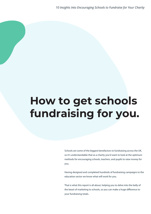# **How to get schools fundraising for you.**

Schools are some of the biggest benefactors to fundraising across the UK, so it's understandable that as a charity you'd want to look at the optimum methods for encouraging schools, teachers, and pupils to raise money for you.

Having designed and completed hundreds of fundraising campaigns to the education sector we know what will work for you.

That is what this report is all about, helping you to delve into the belly of the beast of marketing to schools, so you can make a huge difference to your fundraising totals.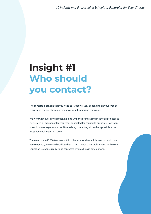.

### **Insight #1 Who should you contact?**

The contacts in schools that you need to target will vary depending on your type of charity and the specific requirements of your fundraising campaign.

We work with over 100 charities, helping with their fundraising in schools projects, so we've seen all manner of teacher types contacted for charitable purposes. However, when it comes to general school fundraising contacting all teachers possible is the most powerful means of success.

There are over 450,000 teachers within UK educational establishments of which we have over 400,000 named staff/teachers across 31,000 UK establishments within our Education Database ready to be contacted by email, post, or telephone.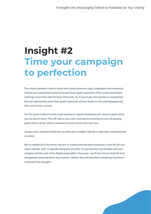### **Insight #2 Time your campaign to perfection**

The school calendar is chock-a-block with charity awareness days, celebrations and memorials. Schools love using these events to increase their pupils' awareness of the world around them, and forge closer links with the local community. So, if you've got a fun activity or competitions that can help teachers grow their pupils' awareness of your charity in a fun and engaging way then you're onto a winner!

Use the power of direct emails to get teachers to request fundraising and resource packs which you can post to them. This will reduce your costs massively by ensuring you are only posting packs (which can be costly to produce) to those schools that want one.

Campus users will also benefit from our Education Insights Calendar to plan their marketing from one place.

We've collated all of the events relevant to schools and education businesses in the UK into one super calendar, with 12 separate categories of events. As you become more familiar with each category and the cycle of the (highly predictable) school year, you'll learn how to drop the kind of targetted communications into teachers' inboxes that will have them wondering if someone overheard their thoughts.

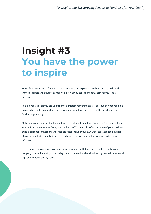### **Insight #3 You have the power to inspire**

Most of you are working for your charity because you are passionate about what you do and want to support and educate as many children as you can. Your enthusiasm for your job is infectious.

Remind yourself that you are your charity's greatest marketing asset. Your love of what you do is going to be what engages teachers, so you (and your face) need to be at the heart of every fundraising campaign.

Make sure your email has the human touch by making it clear that it's coming from you. Set your email's 'from name' as you, from your charity; use 'I' instead of 'we' or the name of your charity to build a personal connection; and, if it's practical, include your own work contact details instead of a generic 'info@...' email address so teachers know exactly who they can turn to for more information.

 The relationship you strike up in your correspondence with teachers is what will make your campaign triumphant. Oh, and a smiley photo of you with a hand-written signature in your email sign off will never do any harm.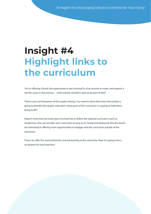#### **Insight #4 Highlight links to the curriculum**

You're offering schools the opportunity to get involved in a fun activity or event, and support a worthy cause in the process… what teacher wouldn't want to be part of that?

There's just one final piece of the puzzle missing. You need to show them how the activity is going to benefit their pupils' education; what parts of the curriculum is it going to help them bring to life?

Keep in mind that not every type of school has to follow the national curriculum (such as Academies, who can set their own curriculum as long as it's broad and balanced). But all schools are interested in offering more opportunities to engage with the curriculum outside of the classroom.

If you can offer fun and excitement, and aid learning at the same time, then it's going to be a no-brainer for most teachers!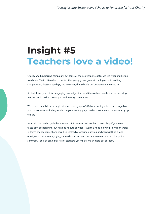#### **Insight #5 Teachers love a video!**

Charity and fundraising campaigns get some of the best response rates we see when marketing to schools. That's often due to the fact that you guys are great at coming up with exciting competitions, dressing up days, and activities, that schools can't wait to get involved in.

It's just these types of fun, engaging campaigns that lend themselves to a short video showing teachers and children taking part and having a great time.

We've seen email click-through rates increase by up to 96% by including a linked screengrab of your video, while including a video on your landing page can help to increase conversions by up to 86%!

It can also be hard to grab the attention of time-crunched teachers, particularly if your event takes a bit of explaining. But just one minute of video is worth a mind-blowing 1.8 million words in terms of engagement and recall! So instead of wearing out your keyboard crafting a long email, record a super-engaging, super-short video, and pop it in an email with a bullet-point summary. You'll be asking far less of teachers, yet will get much more out of them.

.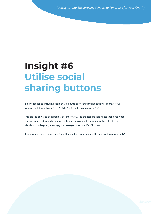### **Insight #6 Insight #6 Utilise social Utilise social sharing buttons sharing buttons**

In our experience, including social sharing buttons on your landing page will improve your In our experience, including social sharing buttons on your landing page will improve your average click-through rate from 2.4% to 6.2%. That's an increase of 158%! average click-through rate from 2.4% to 6.2%. That's an increase of 158%!

This has the power to be especially potent for you. The chances are that if a teacher loves what This has the power to be especially potent for you. The chances are that if a teacher loves what you are doing and wants to support it, they are also going to be eager to share it with their you are doing and wants to support it, they are also going to be eager to share it with their friends and colleagues; meaning your message takes on a life of its own. friends and colleagues; meaning your message takes on a life of its own.

It's not often you get something for nothing in this world so make the most of this opportunity! It's not often you get something for nothing in this world so make the most of this opportunity!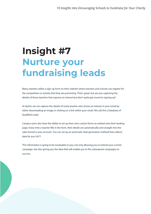### **Insight #7 Nurture your fundraising leads**

Many charities utilise a sign-up form on their website where teachers and schools can register for the competition or activity that they are promoting. That's great, but are you capturing the details of those teachers that express an interest but don't quite get round to signing up?

At Sprint, we can capture the details of every teacher who shows an interest in your email by either downloading an image or clicking on a link within your email. We call this a Database of **Oualified Leads.** 

Campus users also have the ability to set up their own custom forms to embed onto their landing page. Every time a teacher fills in the form, their details are automatically sent straight into the sales funnel in your account. You can set up an automatic lead generation method that collects data for you 24/7!

This information is going to be invaluable to you; not only allowing you to extend your current campaign, but also giving you the data that will enable you to fire subsequent campaigns to success.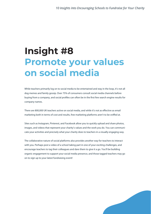### **Insight #8 Promote your values on social media**

While teachers primarily log on to social media to be entertained and stay in the loop, it's not all dog memes and family gossip. Over 75% of consumers consult social media channels before buying from a company, and social profiles can often be in the first few search engine results for company names.

There are 800,000 UK teachers active on social media, and while it's not as effective as email marketing both in terms of cost and results, free marketing platforms aren't to be sniffed at.

Sites such as Instagram, Pinterest, and Facebook allow you to quickly upload and share photos, images, and videos that represent your charity's values and the work you do. You can communicate your activities and precisely what your charity does to teachers in a visually engaging way.

The collaborative nature of social platforms also provides another way for teachers to interact with you. Perhaps post a video of a school taking part in one of your exciting challenges, and encourage teachers to tag their colleagues and dare them to give it a go. You'll be building organic engagement to support your social media presence, and those tagged teachers may go on to sign up to your latest fundraising event!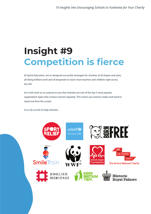## **Insight #9 Competition is fierce**

At Sprint Education, we've designed successful strategies for charities of all shapes and sizes; all doing brilliant work and all desperate to reach more teachers and children right across the UK!

So it will come as no surprise to you that charities are one of the top 2 most popular organisation types that contact schools regularly. This means you need to really work hard to stand out from the crowd.

So to do our bit to help charities…

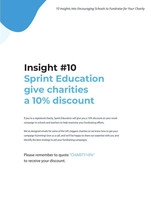*10 Insights Into Encouraging Schools to Fundraise for Your Charity*

#### **Insight #10 Sprint Education give charities a 10% discount**

If you're a registered charity, Sprint Education will give you a 10% discount on your email campaign to schools and teachers to help maximise your fundraising efforts.

We've designed emails for some of the UK's biggest charities so we know how to get your campaign humming! Give us a call, and we'll be happy to share our expertise with you and identify the best strategy to aid your fundraising campaigns.

**Please remember to quote "CHARITY10%" to receive your discount.**